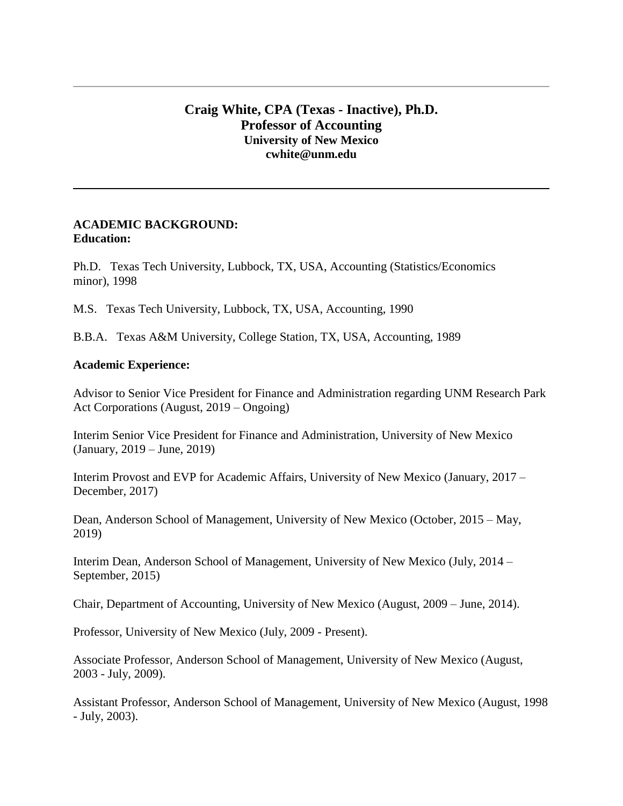# **Craig White, CPA (Texas - Inactive), Ph.D. Professor of Accounting University of New Mexico cwhite@unm.edu**

#### **ACADEMIC BACKGROUND: Education:**

Ph.D. Texas Tech University, Lubbock, TX, USA, Accounting (Statistics/Economics minor), 1998

M.S. Texas Tech University, Lubbock, TX, USA, Accounting, 1990

B.B.A. Texas A&M University, College Station, TX, USA, Accounting, 1989

#### **Academic Experience:**

Advisor to Senior Vice President for Finance and Administration regarding UNM Research Park Act Corporations (August, 2019 – Ongoing)

Interim Senior Vice President for Finance and Administration, University of New Mexico (January, 2019 – June, 2019)

Interim Provost and EVP for Academic Affairs, University of New Mexico (January, 2017 – December, 2017)

Dean, Anderson School of Management, University of New Mexico (October, 2015 – May, 2019)

Interim Dean, Anderson School of Management, University of New Mexico (July, 2014 – September, 2015)

Chair, Department of Accounting, University of New Mexico (August, 2009 – June, 2014).

Professor, University of New Mexico (July, 2009 - Present).

Associate Professor, Anderson School of Management, University of New Mexico (August, 2003 - July, 2009).

Assistant Professor, Anderson School of Management, University of New Mexico (August, 1998 - July, 2003).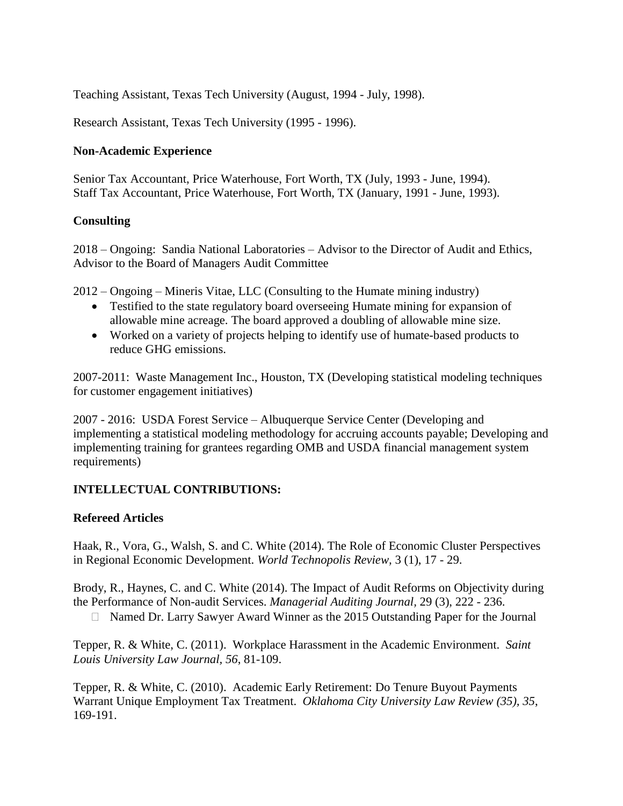Teaching Assistant, Texas Tech University (August, 1994 - July, 1998).

Research Assistant, Texas Tech University (1995 - 1996).

### **Non-Academic Experience**

Senior Tax Accountant, Price Waterhouse, Fort Worth, TX (July, 1993 - June, 1994). Staff Tax Accountant, Price Waterhouse, Fort Worth, TX (January, 1991 - June, 1993).

# **Consulting**

2018 – Ongoing: Sandia National Laboratories – Advisor to the Director of Audit and Ethics, Advisor to the Board of Managers Audit Committee

2012 – Ongoing – Mineris Vitae, LLC (Consulting to the Humate mining industry)

- Testified to the state regulatory board overseeing Humate mining for expansion of allowable mine acreage. The board approved a doubling of allowable mine size.
- Worked on a variety of projects helping to identify use of humate-based products to reduce GHG emissions.

2007-2011: Waste Management Inc., Houston, TX (Developing statistical modeling techniques for customer engagement initiatives)

2007 - 2016: USDA Forest Service – Albuquerque Service Center (Developing and implementing a statistical modeling methodology for accruing accounts payable; Developing and implementing training for grantees regarding OMB and USDA financial management system requirements)

# **INTELLECTUAL CONTRIBUTIONS:**

# **Refereed Articles**

Haak, R., Vora, G., Walsh, S. and C. White (2014). The Role of Economic Cluster Perspectives in Regional Economic Development. *World Technopolis Review,* 3 (1), 17 - 29.

Brody, R., Haynes, C. and C. White (2014). The Impact of Audit Reforms on Objectivity during the Performance of Non-audit Services. *Managerial Auditing Journal,* 29 (3), 222 - 236.

Named Dr. Larry Sawyer Award Winner as the 2015 Outstanding Paper for the Journal

Tepper, R. & White, C. (2011). Workplace Harassment in the Academic Environment. *Saint Louis University Law Journal, 56*, 81-109.

Tepper, R. & White, C. (2010). Academic Early Retirement: Do Tenure Buyout Payments Warrant Unique Employment Tax Treatment. *Oklahoma City University Law Review (35), 35*, 169-191.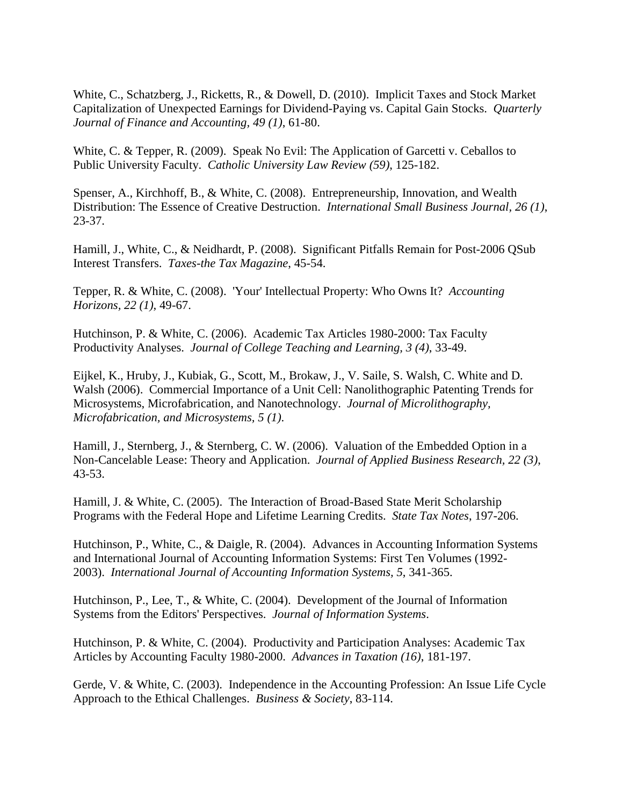White, C., Schatzberg, J., Ricketts, R., & Dowell, D. (2010). Implicit Taxes and Stock Market Capitalization of Unexpected Earnings for Dividend-Paying vs. Capital Gain Stocks. *Quarterly Journal of Finance and Accounting, 49 (1)*, 61-80.

White, C. & Tepper, R. (2009). Speak No Evil: The Application of Garcetti v. Ceballos to Public University Faculty. *Catholic University Law Review (59)*, 125-182.

Spenser, A., Kirchhoff, B., & White, C. (2008). Entrepreneurship, Innovation, and Wealth Distribution: The Essence of Creative Destruction. *International Small Business Journal, 26 (1)*, 23-37.

Hamill, J., White, C., & Neidhardt, P. (2008). Significant Pitfalls Remain for Post-2006 QSub Interest Transfers. *Taxes-the Tax Magazine*, 45-54.

Tepper, R. & White, C. (2008). 'Your' Intellectual Property: Who Owns It? *Accounting Horizons, 22 (1)*, 49-67.

Hutchinson, P. & White, C. (2006). Academic Tax Articles 1980-2000: Tax Faculty Productivity Analyses. *Journal of College Teaching and Learning, 3 (4)*, 33-49.

Eijkel, K., Hruby, J., Kubiak, G., Scott, M., Brokaw, J., V. Saile, S. Walsh, C. White and D. Walsh (2006). Commercial Importance of a Unit Cell: Nanolithographic Patenting Trends for Microsystems, Microfabrication, and Nanotechnology. *Journal of Microlithography, Microfabrication, and Microsystems, 5 (1)*.

Hamill, J., Sternberg, J., & Sternberg, C. W. (2006). Valuation of the Embedded Option in a Non-Cancelable Lease: Theory and Application. *Journal of Applied Business Research, 22 (3)*, 43-53.

Hamill, J. & White, C. (2005). The Interaction of Broad-Based State Merit Scholarship Programs with the Federal Hope and Lifetime Learning Credits. *State Tax Notes*, 197-206.

Hutchinson, P., White, C., & Daigle, R. (2004). Advances in Accounting Information Systems and International Journal of Accounting Information Systems: First Ten Volumes (1992- 2003). *International Journal of Accounting Information Systems, 5*, 341-365.

Hutchinson, P., Lee, T., & White, C. (2004). Development of the Journal of Information Systems from the Editors' Perspectives. *Journal of Information Systems*.

Hutchinson, P. & White, C. (2004). Productivity and Participation Analyses: Academic Tax Articles by Accounting Faculty 1980-2000. *Advances in Taxation (16)*, 181-197.

Gerde, V. & White, C. (2003). Independence in the Accounting Profession: An Issue Life Cycle Approach to the Ethical Challenges. *Business & Society*, 83-114.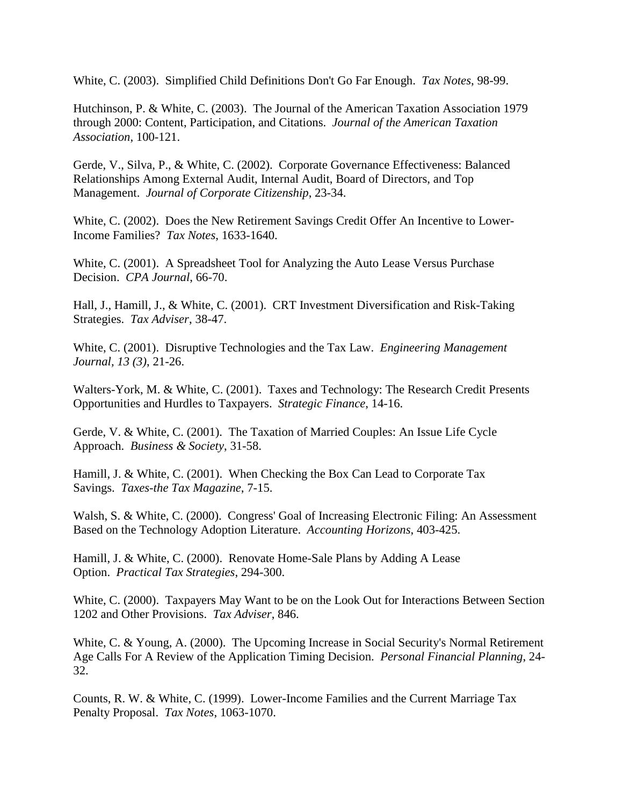White, C. (2003). Simplified Child Definitions Don't Go Far Enough. *Tax Notes*, 98-99.

Hutchinson, P. & White, C. (2003). The Journal of the American Taxation Association 1979 through 2000: Content, Participation, and Citations. *Journal of the American Taxation Association*, 100-121.

Gerde, V., Silva, P., & White, C. (2002). Corporate Governance Effectiveness: Balanced Relationships Among External Audit, Internal Audit, Board of Directors, and Top Management. *Journal of Corporate Citizenship*, 23-34.

White, C. (2002). Does the New Retirement Savings Credit Offer An Incentive to Lower-Income Families? *Tax Notes*, 1633-1640.

White, C. (2001). A Spreadsheet Tool for Analyzing the Auto Lease Versus Purchase Decision. *CPA Journal*, 66-70.

Hall, J., Hamill, J., & White, C. (2001). CRT Investment Diversification and Risk-Taking Strategies. *Tax Adviser*, 38-47.

White, C. (2001). Disruptive Technologies and the Tax Law. *Engineering Management Journal, 13 (3)*, 21-26.

Walters-York, M. & White, C. (2001). Taxes and Technology: The Research Credit Presents Opportunities and Hurdles to Taxpayers. *Strategic Finance*, 14-16.

Gerde, V. & White, C. (2001). The Taxation of Married Couples: An Issue Life Cycle Approach. *Business & Society*, 31-58.

Hamill, J. & White, C. (2001). When Checking the Box Can Lead to Corporate Tax Savings. *Taxes-the Tax Magazine*, 7-15.

Walsh, S. & White, C. (2000). Congress' Goal of Increasing Electronic Filing: An Assessment Based on the Technology Adoption Literature. *Accounting Horizons*, 403-425.

Hamill, J. & White, C. (2000). Renovate Home-Sale Plans by Adding A Lease Option. *Practical Tax Strategies*, 294-300.

White, C. (2000). Taxpayers May Want to be on the Look Out for Interactions Between Section 1202 and Other Provisions. *Tax Adviser*, 846.

White, C. & Young, A. (2000). The Upcoming Increase in Social Security's Normal Retirement Age Calls For A Review of the Application Timing Decision. *Personal Financial Planning*, 24- 32.

Counts, R. W. & White, C. (1999). Lower-Income Families and the Current Marriage Tax Penalty Proposal. *Tax Notes*, 1063-1070.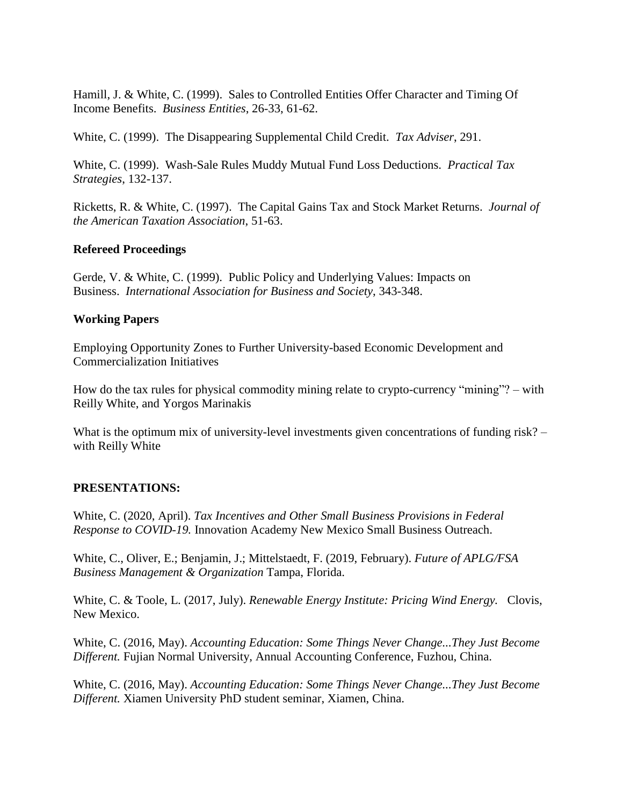Hamill, J. & White, C. (1999). Sales to Controlled Entities Offer Character and Timing Of Income Benefits. *Business Entities*, 26-33, 61-62.

White, C. (1999). The Disappearing Supplemental Child Credit. *Tax Adviser*, 291.

White, C. (1999). Wash-Sale Rules Muddy Mutual Fund Loss Deductions. *Practical Tax Strategies*, 132-137.

Ricketts, R. & White, C. (1997). The Capital Gains Tax and Stock Market Returns. *Journal of the American Taxation Association*, 51-63.

### **Refereed Proceedings**

Gerde, V. & White, C. (1999). Public Policy and Underlying Values: Impacts on Business. *International Association for Business and Society*, 343-348.

### **Working Papers**

Employing Opportunity Zones to Further University-based Economic Development and Commercialization Initiatives

How do the tax rules for physical commodity mining relate to crypto-currency "mining"? – with Reilly White, and Yorgos Marinakis

What is the optimum mix of university-level investments given concentrations of funding risk? – with Reilly White

# **PRESENTATIONS:**

White, C. (2020, April). *Tax Incentives and Other Small Business Provisions in Federal Response to COVID-19.* Innovation Academy New Mexico Small Business Outreach.

White, C., Oliver, E.; Benjamin, J.; Mittelstaedt, F. (2019, February). *Future of APLG/FSA Business Management & Organization* Tampa, Florida.

White, C. & Toole, L. (2017, July). *Renewable Energy Institute: Pricing Wind Energy.* Clovis, New Mexico.

White, C. (2016, May). *Accounting Education: Some Things Never Change...They Just Become Different.* Fujian Normal University, Annual Accounting Conference, Fuzhou, China.

White, C. (2016, May). *Accounting Education: Some Things Never Change...They Just Become Different.* Xiamen University PhD student seminar, Xiamen, China.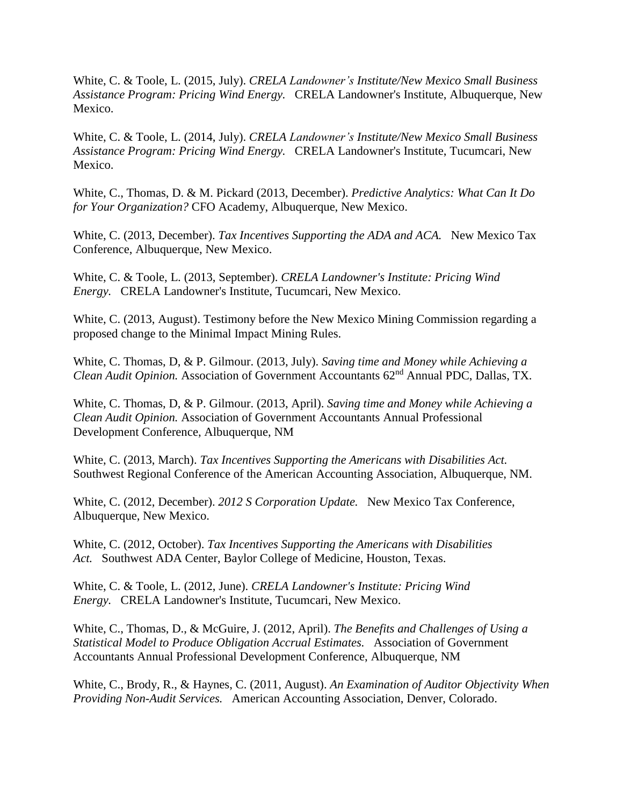White, C. & Toole, L. (2015, July). *CRELA Landowner's Institute/New Mexico Small Business Assistance Program: Pricing Wind Energy.* CRELA Landowner's Institute, Albuquerque, New Mexico.

White, C. & Toole, L. (2014, July). *CRELA Landowner's Institute/New Mexico Small Business Assistance Program: Pricing Wind Energy.* CRELA Landowner's Institute, Tucumcari, New Mexico.

White, C., Thomas, D. & M. Pickard (2013, December). *Predictive Analytics: What Can It Do for Your Organization?* CFO Academy, Albuquerque, New Mexico.

White, C. (2013, December). *Tax Incentives Supporting the ADA and ACA.* New Mexico Tax Conference, Albuquerque, New Mexico.

White, C. & Toole, L. (2013, September). *CRELA Landowner's Institute: Pricing Wind Energy.* CRELA Landowner's Institute, Tucumcari, New Mexico.

White, C. (2013, August). Testimony before the New Mexico Mining Commission regarding a proposed change to the Minimal Impact Mining Rules.

White, C. Thomas, D, & P. Gilmour. (2013, July). *Saving time and Money while Achieving a Clean Audit Opinion.* Association of Government Accountants 62nd Annual PDC, Dallas, TX.

White, C. Thomas, D, & P. Gilmour. (2013, April). *Saving time and Money while Achieving a Clean Audit Opinion.* Association of Government Accountants Annual Professional Development Conference, Albuquerque, NM

White, C. (2013, March). *Tax Incentives Supporting the Americans with Disabilities Act.* Southwest Regional Conference of the American Accounting Association, Albuquerque, NM.

White, C. (2012, December). *2012 S Corporation Update.* New Mexico Tax Conference, Albuquerque, New Mexico.

White, C. (2012, October). *Tax Incentives Supporting the Americans with Disabilities Act.* Southwest ADA Center, Baylor College of Medicine, Houston, Texas.

White, C. & Toole, L. (2012, June). *CRELA Landowner's Institute: Pricing Wind Energy.* CRELA Landowner's Institute, Tucumcari, New Mexico.

White, C., Thomas, D., & McGuire, J. (2012, April). *The Benefits and Challenges of Using a Statistical Model to Produce Obligation Accrual Estimates.* Association of Government Accountants Annual Professional Development Conference, Albuquerque, NM

White, C., Brody, R., & Haynes, C. (2011, August). *An Examination of Auditor Objectivity When Providing Non-Audit Services.* American Accounting Association, Denver, Colorado.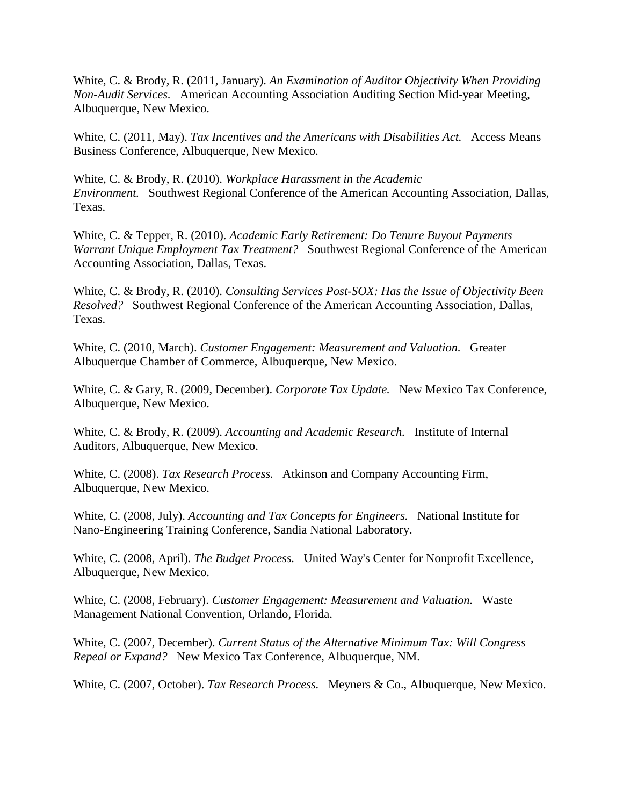White, C. & Brody, R. (2011, January). *An Examination of Auditor Objectivity When Providing Non-Audit Services.* American Accounting Association Auditing Section Mid-year Meeting, Albuquerque, New Mexico.

White, C. (2011, May). *Tax Incentives and the Americans with Disabilities Act.* Access Means Business Conference, Albuquerque, New Mexico.

White, C. & Brody, R. (2010). *Workplace Harassment in the Academic Environment.* Southwest Regional Conference of the American Accounting Association, Dallas, Texas.

White, C. & Tepper, R. (2010). *Academic Early Retirement: Do Tenure Buyout Payments Warrant Unique Employment Tax Treatment?* Southwest Regional Conference of the American Accounting Association, Dallas, Texas.

White, C. & Brody, R. (2010). *Consulting Services Post-SOX: Has the Issue of Objectivity Been Resolved?* Southwest Regional Conference of the American Accounting Association, Dallas, Texas.

White, C. (2010, March). *Customer Engagement: Measurement and Valuation.* Greater Albuquerque Chamber of Commerce, Albuquerque, New Mexico.

White, C. & Gary, R. (2009, December). *Corporate Tax Update.* New Mexico Tax Conference, Albuquerque, New Mexico.

White, C. & Brody, R. (2009). *Accounting and Academic Research.* Institute of Internal Auditors, Albuquerque, New Mexico.

White, C. (2008). *Tax Research Process.* Atkinson and Company Accounting Firm, Albuquerque, New Mexico.

White, C. (2008, July). *Accounting and Tax Concepts for Engineers.* National Institute for Nano-Engineering Training Conference, Sandia National Laboratory.

White, C. (2008, April). *The Budget Process.* United Way's Center for Nonprofit Excellence, Albuquerque, New Mexico.

White, C. (2008, February). *Customer Engagement: Measurement and Valuation.* Waste Management National Convention, Orlando, Florida.

White, C. (2007, December). *Current Status of the Alternative Minimum Tax: Will Congress Repeal or Expand?* New Mexico Tax Conference, Albuquerque, NM.

White, C. (2007, October). *Tax Research Process.* Meyners & Co., Albuquerque, New Mexico.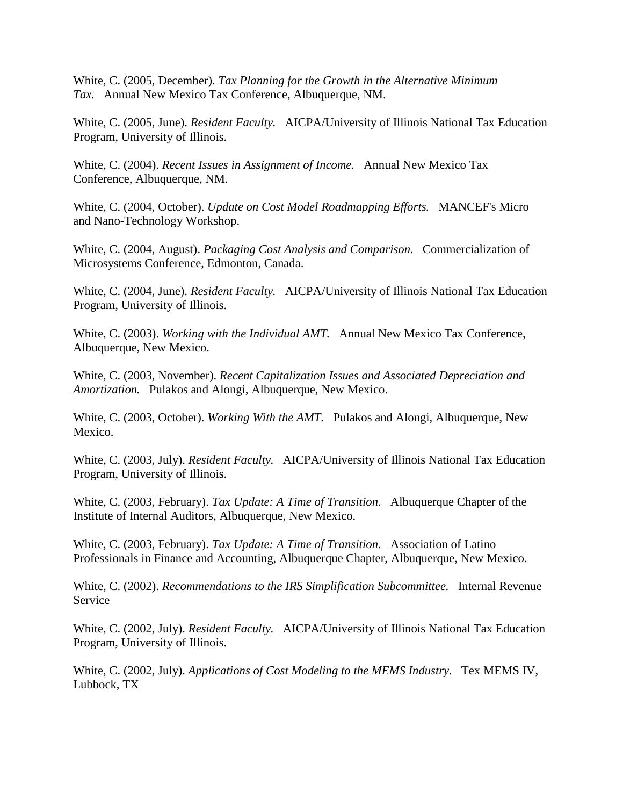White, C. (2005, December). *Tax Planning for the Growth in the Alternative Minimum Tax.* Annual New Mexico Tax Conference, Albuquerque, NM.

White, C. (2005, June). *Resident Faculty.* AICPA/University of Illinois National Tax Education Program, University of Illinois.

White, C. (2004). *Recent Issues in Assignment of Income.* Annual New Mexico Tax Conference, Albuquerque, NM.

White, C. (2004, October). *Update on Cost Model Roadmapping Efforts.* MANCEF's Micro and Nano-Technology Workshop.

White, C. (2004, August). *Packaging Cost Analysis and Comparison.* Commercialization of Microsystems Conference, Edmonton, Canada.

White, C. (2004, June). *Resident Faculty.* AICPA/University of Illinois National Tax Education Program, University of Illinois.

White, C. (2003). *Working with the Individual AMT.* Annual New Mexico Tax Conference, Albuquerque, New Mexico.

White, C. (2003, November). *Recent Capitalization Issues and Associated Depreciation and Amortization.* Pulakos and Alongi, Albuquerque, New Mexico.

White, C. (2003, October). *Working With the AMT.* Pulakos and Alongi, Albuquerque, New Mexico.

White, C. (2003, July). *Resident Faculty.* AICPA/University of Illinois National Tax Education Program, University of Illinois.

White, C. (2003, February). *Tax Update: A Time of Transition.* Albuquerque Chapter of the Institute of Internal Auditors, Albuquerque, New Mexico.

White, C. (2003, February). *Tax Update: A Time of Transition.* Association of Latino Professionals in Finance and Accounting, Albuquerque Chapter, Albuquerque, New Mexico.

White, C. (2002). *Recommendations to the IRS Simplification Subcommittee.* Internal Revenue Service

White, C. (2002, July). *Resident Faculty.* AICPA/University of Illinois National Tax Education Program, University of Illinois.

White, C. (2002, July). *Applications of Cost Modeling to the MEMS Industry.* Tex MEMS IV, Lubbock, TX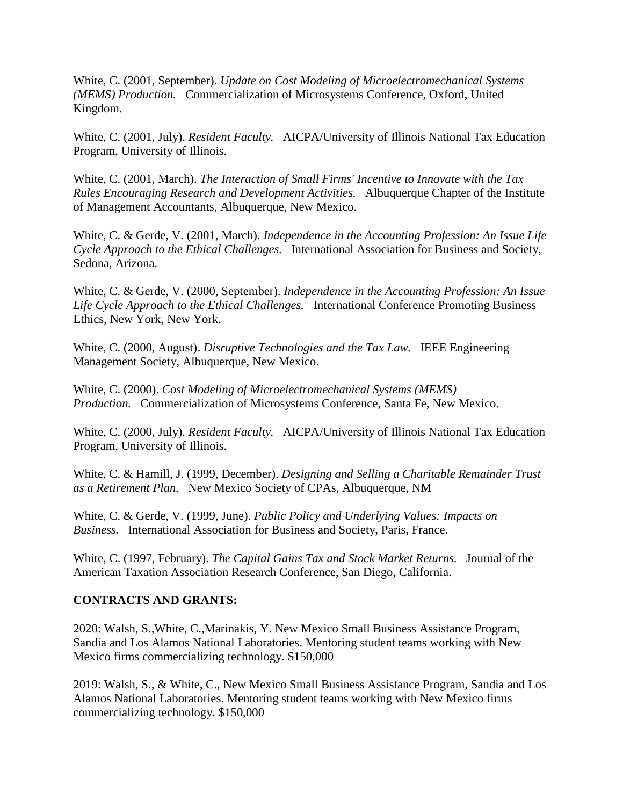White, C. (2001, September). *Update on Cost Modeling of Microelectromechanical Systems (MEMS) Production.* Commercialization of Microsystems Conference, Oxford, United Kingdom.

White, C. (2001, July). *Resident Faculty.* AICPA/University of Illinois National Tax Education Program, University of Illinois.

White, C. (2001, March). *The Interaction of Small Firms' Incentive to Innovate with the Tax Rules Encouraging Research and Development Activities.* Albuquerque Chapter of the Institute of Management Accountants, Albuquerque, New Mexico.

White, C. & Gerde, V. (2001, March). *Independence in the Accounting Profession: An Issue Life Cycle Approach to the Ethical Challenges.* International Association for Business and Society, Sedona, Arizona.

White, C. & Gerde, V. (2000, September). *Independence in the Accounting Profession: An Issue Life Cycle Approach to the Ethical Challenges.* International Conference Promoting Business Ethics, New York, New York.

White, C. (2000, August). *Disruptive Technologies and the Tax Law.* IEEE Engineering Management Society, Albuquerque, New Mexico.

White, C. (2000). *Cost Modeling of Microelectromechanical Systems (MEMS) Production.* Commercialization of Microsystems Conference, Santa Fe, New Mexico.

White, C. (2000, July). *Resident Faculty.* AICPA/University of Illinois National Tax Education Program, University of Illinois.

White, C. & Hamill, J. (1999, December). *Designing and Selling a Charitable Remainder Trust as a Retirement Plan.* New Mexico Society of CPAs, Albuquerque, NM

White, C. & Gerde, V. (1999, June). *Public Policy and Underlying Values: Impacts on Business.* International Association for Business and Society, Paris, France.

White, C. (1997, February). *The Capital Gains Tax and Stock Market Returns.* Journal of the American Taxation Association Research Conference, San Diego, California.

#### **CONTRACTS AND GRANTS:**

2020: Walsh, S.,White, C.,Marinakis, Y. New Mexico Small Business Assistance Program, Sandia and Los Alamos National Laboratories. Mentoring student teams working with New Mexico firms commercializing technology. \$150,000

2019: Walsh, S., & White, C., New Mexico Small Business Assistance Program, Sandia and Los Alamos National Laboratories. Mentoring student teams working with New Mexico firms commercializing technology. \$150,000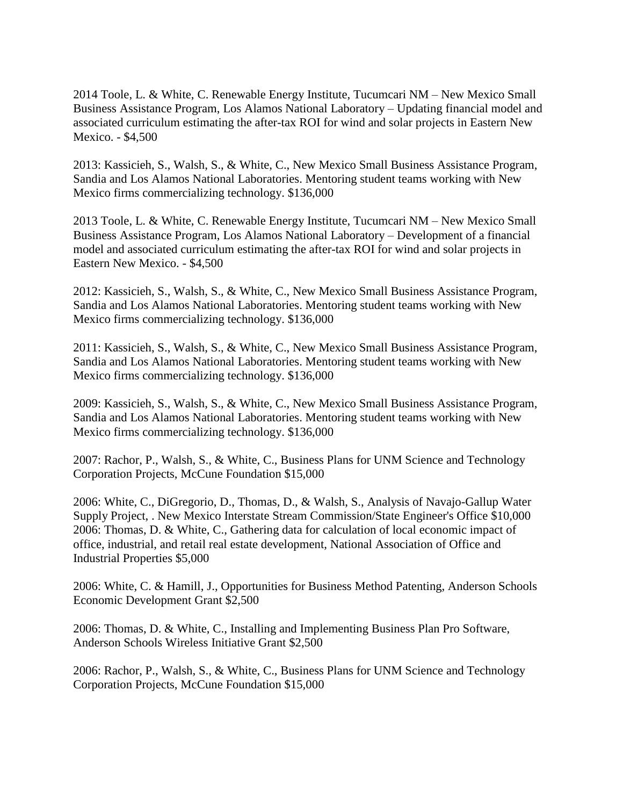2014 Toole, L. & White, C. Renewable Energy Institute, Tucumcari NM – New Mexico Small Business Assistance Program, Los Alamos National Laboratory – Updating financial model and associated curriculum estimating the after-tax ROI for wind and solar projects in Eastern New Mexico. - \$4,500

2013: Kassicieh, S., Walsh, S., & White, C., New Mexico Small Business Assistance Program, Sandia and Los Alamos National Laboratories. Mentoring student teams working with New Mexico firms commercializing technology. \$136,000

2013 Toole, L. & White, C. Renewable Energy Institute, Tucumcari NM – New Mexico Small Business Assistance Program, Los Alamos National Laboratory – Development of a financial model and associated curriculum estimating the after-tax ROI for wind and solar projects in Eastern New Mexico. - \$4,500

2012: Kassicieh, S., Walsh, S., & White, C., New Mexico Small Business Assistance Program, Sandia and Los Alamos National Laboratories. Mentoring student teams working with New Mexico firms commercializing technology. \$136,000

2011: Kassicieh, S., Walsh, S., & White, C., New Mexico Small Business Assistance Program, Sandia and Los Alamos National Laboratories. Mentoring student teams working with New Mexico firms commercializing technology. \$136,000

2009: Kassicieh, S., Walsh, S., & White, C., New Mexico Small Business Assistance Program, Sandia and Los Alamos National Laboratories. Mentoring student teams working with New Mexico firms commercializing technology. \$136,000

2007: Rachor, P., Walsh, S., & White, C., Business Plans for UNM Science and Technology Corporation Projects, McCune Foundation \$15,000

2006: White, C., DiGregorio, D., Thomas, D., & Walsh, S., Analysis of Navajo-Gallup Water Supply Project, . New Mexico Interstate Stream Commission/State Engineer's Office \$10,000 2006: Thomas, D. & White, C., Gathering data for calculation of local economic impact of office, industrial, and retail real estate development, National Association of Office and Industrial Properties \$5,000

2006: White, C. & Hamill, J., Opportunities for Business Method Patenting, Anderson Schools Economic Development Grant \$2,500

2006: Thomas, D. & White, C., Installing and Implementing Business Plan Pro Software, Anderson Schools Wireless Initiative Grant \$2,500

2006: Rachor, P., Walsh, S., & White, C., Business Plans for UNM Science and Technology Corporation Projects, McCune Foundation \$15,000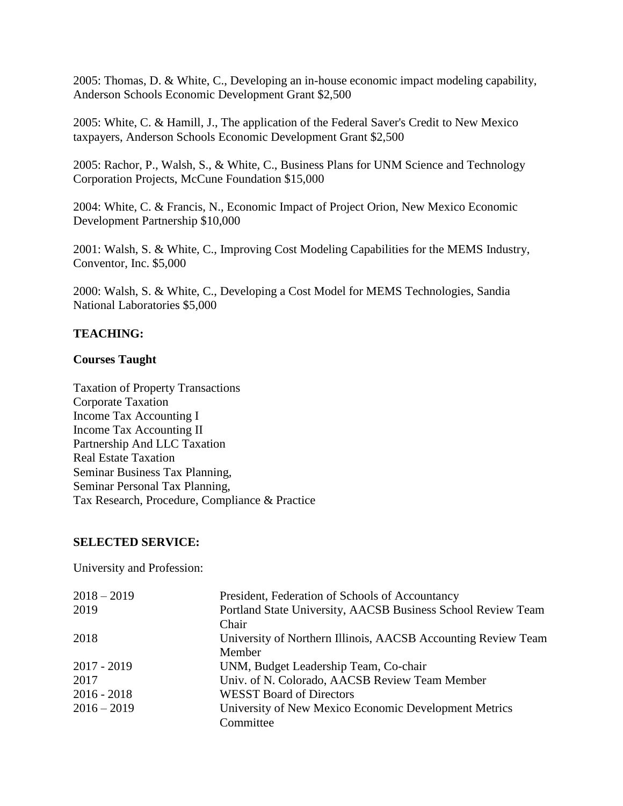2005: Thomas, D. & White, C., Developing an in-house economic impact modeling capability, Anderson Schools Economic Development Grant \$2,500

2005: White, C. & Hamill, J., The application of the Federal Saver's Credit to New Mexico taxpayers, Anderson Schools Economic Development Grant \$2,500

2005: Rachor, P., Walsh, S., & White, C., Business Plans for UNM Science and Technology Corporation Projects, McCune Foundation \$15,000

2004: White, C. & Francis, N., Economic Impact of Project Orion, New Mexico Economic Development Partnership \$10,000

2001: Walsh, S. & White, C., Improving Cost Modeling Capabilities for the MEMS Industry, Conventor, Inc. \$5,000

2000: Walsh, S. & White, C., Developing a Cost Model for MEMS Technologies, Sandia National Laboratories \$5,000

# **TEACHING:**

### **Courses Taught**

Taxation of Property Transactions Corporate Taxation Income Tax Accounting I Income Tax Accounting II Partnership And LLC Taxation Real Estate Taxation Seminar Business Tax Planning, Seminar Personal Tax Planning, Tax Research, Procedure, Compliance & Practice

#### **SELECTED SERVICE:**

University and Profession:

| $2018 - 2019$ | President, Federation of Schools of Accountancy               |
|---------------|---------------------------------------------------------------|
| 2019          | Portland State University, AACSB Business School Review Team  |
|               | Chair                                                         |
| 2018          | University of Northern Illinois, AACSB Accounting Review Team |
|               | Member                                                        |
| $2017 - 2019$ | UNM, Budget Leadership Team, Co-chair                         |
| 2017          | Univ. of N. Colorado, AACSB Review Team Member                |
| $2016 - 2018$ | <b>WESST Board of Directors</b>                               |
| $2016 - 2019$ | University of New Mexico Economic Development Metrics         |
|               | Committee                                                     |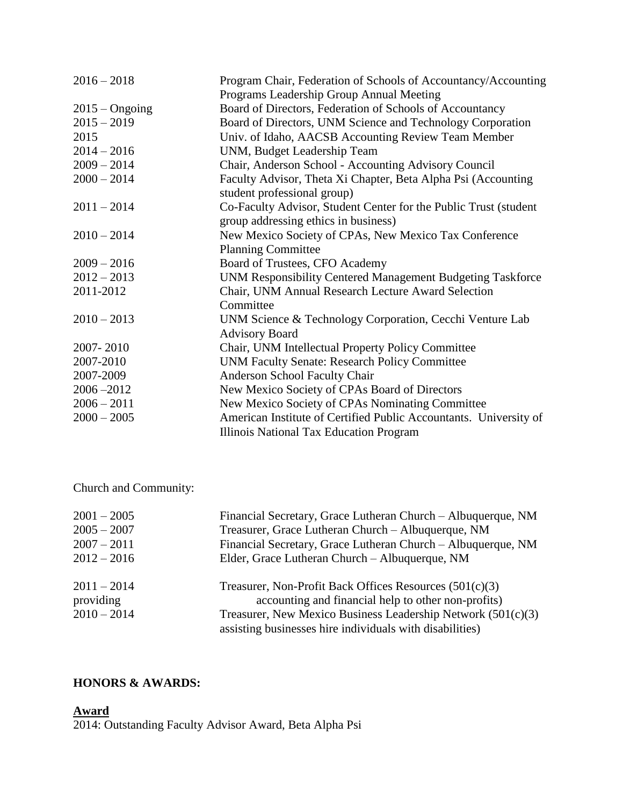| $2016 - 2018$    | Program Chair, Federation of Schools of Accountancy/Accounting                                           |
|------------------|----------------------------------------------------------------------------------------------------------|
|                  | Programs Leadership Group Annual Meeting                                                                 |
| $2015 - Ongoing$ | Board of Directors, Federation of Schools of Accountancy                                                 |
| $2015 - 2019$    | Board of Directors, UNM Science and Technology Corporation                                               |
| 2015             | Univ. of Idaho, AACSB Accounting Review Team Member                                                      |
| $2014 - 2016$    | UNM, Budget Leadership Team                                                                              |
| $2009 - 2014$    | Chair, Anderson School - Accounting Advisory Council                                                     |
| $2000 - 2014$    | Faculty Advisor, Theta Xi Chapter, Beta Alpha Psi (Accounting)<br>student professional group)            |
| $2011 - 2014$    | Co-Faculty Advisor, Student Center for the Public Trust (student<br>group addressing ethics in business) |
| $2010 - 2014$    | New Mexico Society of CPAs, New Mexico Tax Conference                                                    |
|                  | <b>Planning Committee</b>                                                                                |
| $2009 - 2016$    | Board of Trustees, CFO Academy                                                                           |
| $2012 - 2013$    | UNM Responsibility Centered Management Budgeting Taskforce                                               |
| 2011-2012        | Chair, UNM Annual Research Lecture Award Selection                                                       |
|                  | Committee                                                                                                |
| $2010 - 2013$    | UNM Science & Technology Corporation, Cecchi Venture Lab                                                 |
|                  | <b>Advisory Board</b>                                                                                    |
| 2007-2010        | Chair, UNM Intellectual Property Policy Committee                                                        |
| 2007-2010        | <b>UNM Faculty Senate: Research Policy Committee</b>                                                     |
| 2007-2009        | Anderson School Faculty Chair                                                                            |
| $2006 - 2012$    | New Mexico Society of CPAs Board of Directors                                                            |
| $2006 - 2011$    | New Mexico Society of CPAs Nominating Committee                                                          |
| $2000 - 2005$    | American Institute of Certified Public Accountants. University of                                        |
|                  | Illinois National Tax Education Program                                                                  |

# Church and Community:

| $2001 - 2005$<br>$2005 - 2007$<br>$2007 - 2011$ | Financial Secretary, Grace Lutheran Church – Albuquerque, NM<br>Treasurer, Grace Lutheran Church - Albuquerque, NM<br>Financial Secretary, Grace Lutheran Church - Albuquerque, NM                                                               |
|-------------------------------------------------|--------------------------------------------------------------------------------------------------------------------------------------------------------------------------------------------------------------------------------------------------|
| $2012 - 2016$                                   | Elder, Grace Lutheran Church - Albuquerque, NM                                                                                                                                                                                                   |
| $2011 - 2014$<br>providing<br>$2010 - 2014$     | Treasurer, Non-Profit Back Offices Resources $(501(c)(3))$<br>accounting and financial help to other non-profits)<br>Treasurer, New Mexico Business Leadership Network $(501(c)(3))$<br>assisting businesses hire individuals with disabilities) |

# **HONORS & AWARDS:**

**Award**

2014: Outstanding Faculty Advisor Award, Beta Alpha Psi